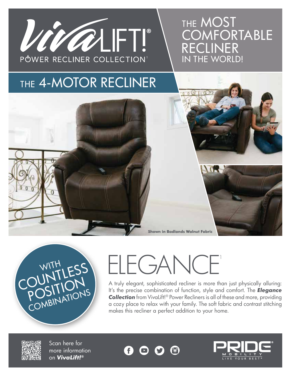

## THE MOST **COMFORTABLE** RECLINER IN THE WORLD!

## THE 4-MOTOR RECLINER





## **ELEGANCF**

A truly elegant, sophisticated recliner is more than just physically alluring: It's the precise combination of function, style and comfort. The *Elegance Collection* from VivaLift!® Power Recliners is all of these and more, providing a cozy place to relax with your family. The soft fabric and contrast stitching makes this recliner a perfect addition to your home.



Scan here for more information on *VivaLift!®*